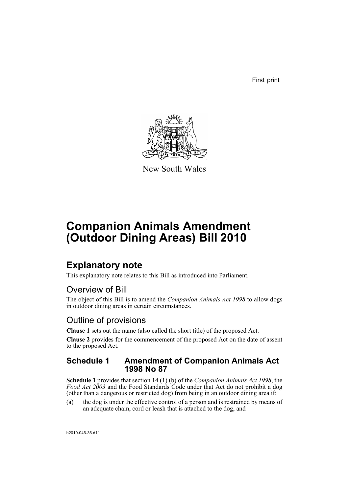First print



New South Wales

# **Companion Animals Amendment (Outdoor Dining Areas) Bill 2010**

## **Explanatory note**

This explanatory note relates to this Bill as introduced into Parliament.

### Overview of Bill

The object of this Bill is to amend the *Companion Animals Act 1998* to allow dogs in outdoor dining areas in certain circumstances.

### Outline of provisions

**Clause 1** sets out the name (also called the short title) of the proposed Act.

**Clause 2** provides for the commencement of the proposed Act on the date of assent to the proposed Act.

#### **Schedule 1 Amendment of Companion Animals Act 1998 No 87**

**Schedule 1** provides that section 14 (1) (b) of the *Companion Animals Act 1998*, the *Food Act 2003* and the Food Standards Code under that Act do not prohibit a dog (other than a dangerous or restricted dog) from being in an outdoor dining area if:

(a) the dog is under the effective control of a person and is restrained by means of an adequate chain, cord or leash that is attached to the dog, and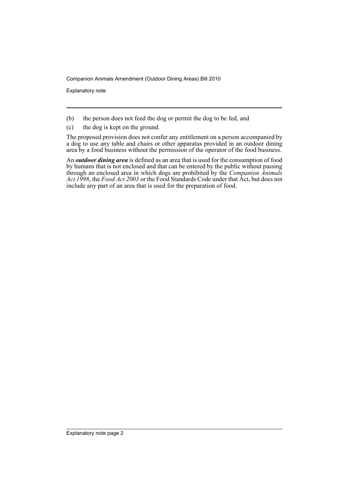Companion Animals Amendment (Outdoor Dining Areas) Bill 2010

Explanatory note

- (b) the person does not feed the dog or permit the dog to be fed, and
- (c) the dog is kept on the ground.

The proposed provision does not confer any entitlement on a person accompanied by a dog to use any table and chairs or other apparatus provided in an outdoor dining area by a food business without the permission of the operator of the food business.

An *outdoor dining area* is defined as an area that is used for the consumption of food by humans that is not enclosed and that can be entered by the public without passing through an enclosed area in which dogs are prohibited by the *Companion Animals Act 1998*, the *Food Act 2003* or the Food Standards Code under that Act, but does not include any part of an area that is used for the preparation of food.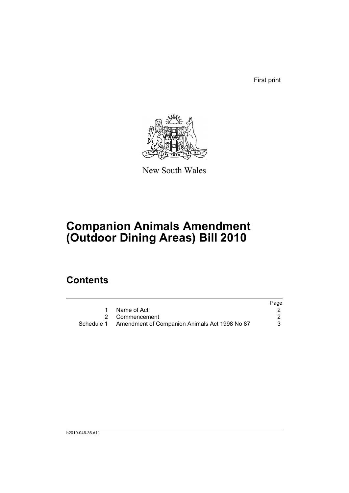First print



New South Wales

# **Companion Animals Amendment (Outdoor Dining Areas) Bill 2010**

### **Contents**

|                                                          | Page |
|----------------------------------------------------------|------|
| 1 Name of Act                                            |      |
| 2 Commencement                                           |      |
| Schedule 1 Amendment of Companion Animals Act 1998 No 87 | 3.   |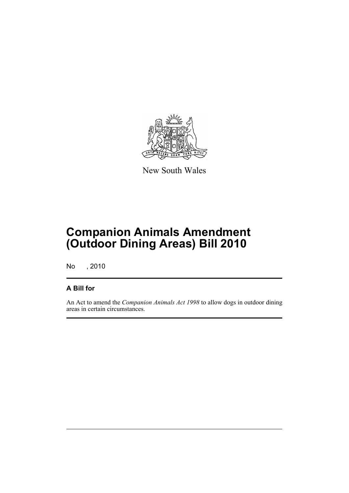

New South Wales

# **Companion Animals Amendment (Outdoor Dining Areas) Bill 2010**

No , 2010

#### **A Bill for**

An Act to amend the *Companion Animals Act 1998* to allow dogs in outdoor dining areas in certain circumstances.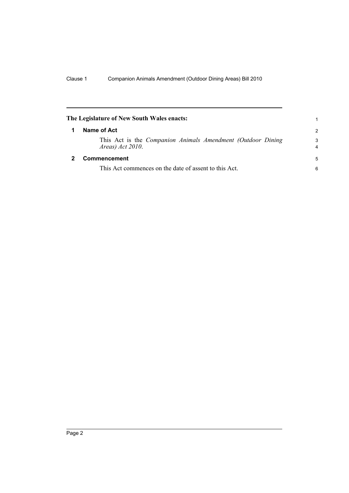<span id="page-5-1"></span><span id="page-5-0"></span>

| The Legislature of New South Wales enacts:                                        | 1                   |
|-----------------------------------------------------------------------------------|---------------------|
| Name of Act                                                                       |                     |
| This Act is the Companion Animals Amendment (Outdoor Dining<br>Areas) $Act$ 2010. | 3<br>$\overline{4}$ |
| Commencement                                                                      | 5                   |
| This Act commences on the date of assent to this Act.                             | 6                   |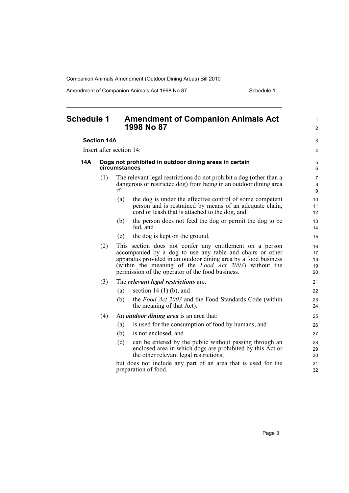Companion Animals Amendment (Outdoor Dining Areas) Bill 2010

Amendment of Companion Animals Act 1998 No 87 Schedule 1

<span id="page-6-0"></span>

| <b>Schedule 1</b> |                          |                                                                         | <b>Amendment of Companion Animals Act</b><br>1998 No 87                                                                                                                                                                                                                                                       | $\mathbf{1}$<br>$\overline{c}$          |  |  |
|-------------------|--------------------------|-------------------------------------------------------------------------|---------------------------------------------------------------------------------------------------------------------------------------------------------------------------------------------------------------------------------------------------------------------------------------------------------------|-----------------------------------------|--|--|
|                   | <b>Section 14A</b>       |                                                                         |                                                                                                                                                                                                                                                                                                               |                                         |  |  |
|                   | Insert after section 14: |                                                                         |                                                                                                                                                                                                                                                                                                               |                                         |  |  |
| 14A               |                          | Dogs not prohibited in outdoor dining areas in certain<br>circumstances |                                                                                                                                                                                                                                                                                                               |                                         |  |  |
|                   | (1)                      | if:                                                                     | The relevant legal restrictions do not prohibit a dog (other than a<br>dangerous or restricted dog) from being in an outdoor dining area                                                                                                                                                                      | $\overline{7}$<br>8<br>$\boldsymbol{9}$ |  |  |
|                   |                          | (a)                                                                     | the dog is under the effective control of some competent<br>person and is restrained by means of an adequate chain,<br>cord or leash that is attached to the dog, and                                                                                                                                         | 10<br>11<br>12                          |  |  |
|                   |                          | (b)                                                                     | the person does not feed the dog or permit the dog to be<br>fed, and                                                                                                                                                                                                                                          | 13<br>14                                |  |  |
|                   |                          | (c)                                                                     | the dog is kept on the ground.                                                                                                                                                                                                                                                                                | 15                                      |  |  |
|                   | (2)                      |                                                                         | This section does not confer any entitlement on a person<br>accompanied by a dog to use any table and chairs or other<br>apparatus provided in an outdoor dining area by a food business<br>(within the meaning of the <i>Food Act 2003</i> ) without the<br>permission of the operator of the food business. | 16<br>17<br>18<br>19<br>20              |  |  |
|                   | (3)                      |                                                                         | The <i>relevant legal restrictions</i> are:                                                                                                                                                                                                                                                                   | 21                                      |  |  |
|                   |                          | (a)                                                                     | section 14 $(1)$ $(b)$ , and                                                                                                                                                                                                                                                                                  | 22                                      |  |  |
|                   |                          | (b)                                                                     | the <i>Food Act 2003</i> and the Food Standards Code (within<br>the meaning of that Act).                                                                                                                                                                                                                     | 23<br>24                                |  |  |
|                   | (4)                      |                                                                         | An <i>outdoor dining area</i> is an area that:                                                                                                                                                                                                                                                                | 25                                      |  |  |
|                   |                          | (a)                                                                     | is used for the consumption of food by humans, and                                                                                                                                                                                                                                                            | 26                                      |  |  |
|                   |                          | (b)                                                                     | is not enclosed, and                                                                                                                                                                                                                                                                                          | 27                                      |  |  |
|                   |                          | (c)                                                                     | can be entered by the public without passing through an<br>enclosed area in which dogs are prohibited by this Act or<br>the other relevant legal restrictions,                                                                                                                                                | 28<br>29<br>30                          |  |  |
|                   |                          |                                                                         | but does not include any part of an area that is used for the<br>preparation of food.                                                                                                                                                                                                                         | 31<br>32                                |  |  |